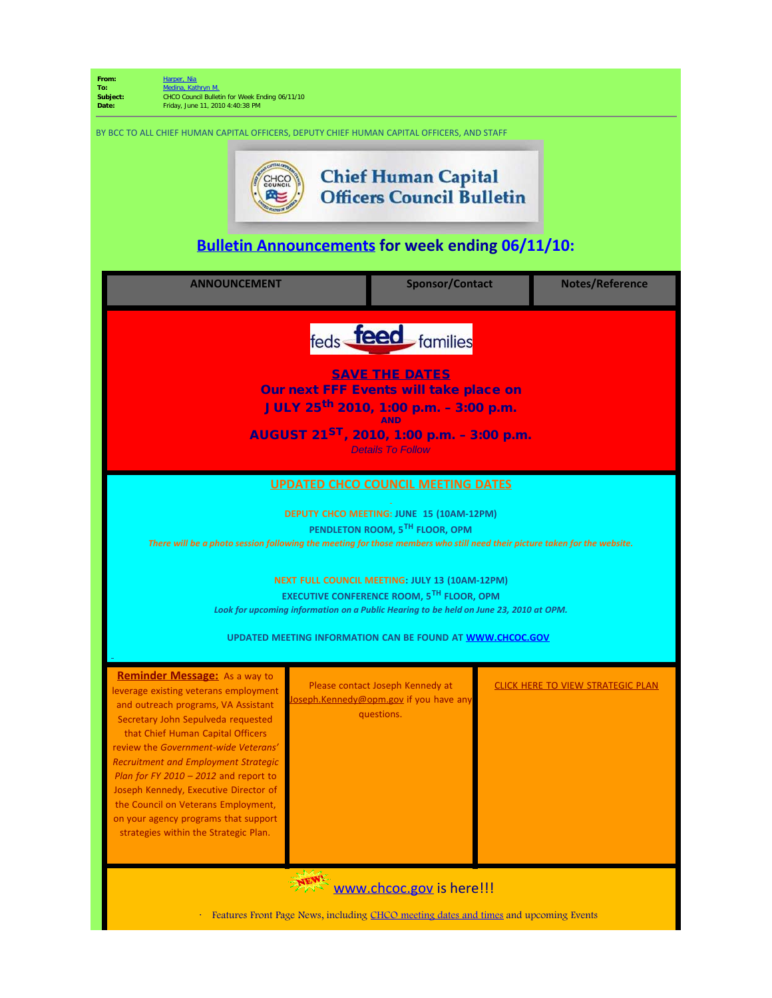